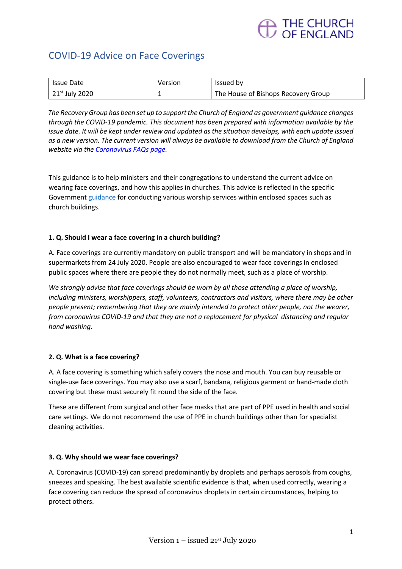# THE CHURCH<br>OF FNGI AND

### COVID-19 Advice on Face Coverings

| I Issue Date                        | Version | Issued by                           |
|-------------------------------------|---------|-------------------------------------|
| $\sqrt{21}$ <sup>st</sup> July 2020 | --      | The House of Bishops Recovery Group |

*The Recovery Group has been set up to support the Church of England as government guidance changes through the COVID-19 pandemic. This document has been prepared with information available by the issue date. It will be kept under review and updated as the situation develops, with each update issued as a new version. The current version will always be available to download from the Church of England website via th[e Coronavirus FAQs page.](https://www.churchofengland.org/more/media-centre/coronavirus-covid-19-guidance-churches)*

This guidance is to help ministers and their congregations to understand the current advice on wearing face coverings, and how this applies in churches. This advice is reflected in the specific Government [guidance](https://www.gov.uk/government/publications/covid-19-guidance-for-the-safe-use-of-places-of-worship-during-the-pandemic-from-4-july/covid-19-guidance-for-the-safe-use-of-places-of-worship-during-the-pandemic-from-4-july) for conducting various worship services within enclosed spaces such as church buildings.

### **1. Q. Should I wear a face covering in a church building?**

A. Face coverings are currently mandatory on public transport and will be mandatory in shops and in supermarkets from 24 July 2020. People are also encouraged to wear face coverings in enclosed public spaces where there are people they do not normally meet, such as a place of worship.

*We strongly advise that face coverings should be worn by all those attending a place of worship, including ministers, worshippers, staff, volunteers, contractors and visitors, where there may be other people present; remembering that they are mainly intended to protect other people, not the wearer, from coronavirus COVID-19 and that they are not a replacement for physical distancing and regular hand washing.* 

### **2. Q. What is a face covering?**

A. A face covering is something which safely covers the nose and mouth. You can buy reusable or single-use face coverings. You may also use a scarf, bandana, religious garment or hand-made cloth covering but these must securely fit round the side of the face.

These are different from surgical and other face masks that are part of PPE used in health and social care settings. We do not recommend the use of PPE in church buildings other than for specialist cleaning activities.

### **3. Q. Why should we wear face coverings?**

A. Coronavirus (COVID-19) can spread predominantly by droplets and perhaps aerosols from coughs, sneezes and speaking. The best available scientific evidence is that, when used correctly, wearing a face covering can reduce the spread of coronavirus droplets in certain circumstances, helping to protect others.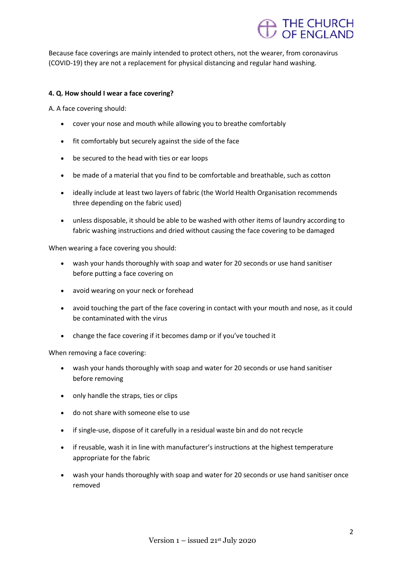

Because face coverings are mainly intended to protect others, not the wearer, from coronavirus (COVID-19) they are not a replacement for physical distancing and regular hand washing.

### **4. Q. How should I wear a face covering?**

A. A face covering should:

- cover your nose and mouth while allowing you to breathe comfortably
- fit comfortably but securely against the side of the face
- be secured to the head with ties or ear loops
- be made of a material that you find to be comfortable and breathable, such as cotton
- ideally include at least two layers of fabric (the World Health Organisation recommends three depending on the fabric used)
- unless disposable, it should be able to be washed with other items of laundry according to fabric washing instructions and dried without causing the face covering to be damaged

When wearing a face covering you should:

- wash your hands thoroughly with soap and water for 20 seconds or use hand sanitiser before putting a face covering on
- avoid wearing on your neck or forehead
- avoid touching the part of the face covering in contact with your mouth and nose, as it could be contaminated with the virus
- change the face covering if it becomes damp or if you've touched it

When removing a face covering:

- wash your hands thoroughly with soap and water for 20 seconds or use hand sanitiser before removing
- only handle the straps, ties or clips
- do not share with someone else to use
- if single-use, dispose of it carefully in a residual waste bin and do not recycle
- if reusable, wash it in line with manufacturer's instructions at the highest temperature appropriate for the fabric
- wash your hands thoroughly with soap and water for 20 seconds or use hand sanitiser once removed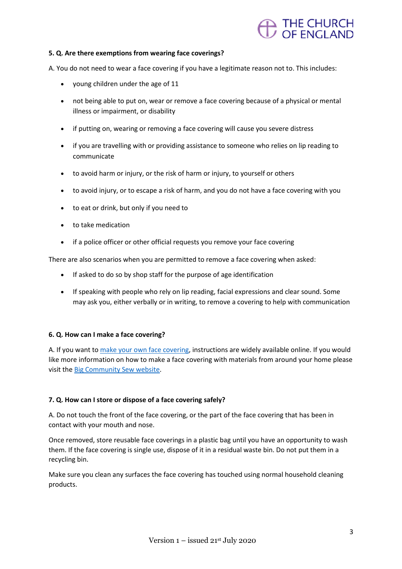## THE CHURCH<br>OF FNGI AND

#### **5. Q. Are there exemptions from wearing face coverings?**

A. You do not need to wear a face covering if you have a legitimate reason not to. This includes:

- young children under the age of 11
- not being able to put on, wear or remove a face covering because of a physical or mental illness or impairment, or disability
- if putting on, wearing or removing a face covering will cause you severe distress
- if you are travelling with or providing assistance to someone who relies on lip reading to communicate
- to avoid harm or injury, or the risk of harm or injury, to yourself or others
- to avoid injury, or to escape a risk of harm, and you do not have a face covering with you
- to eat or drink, but only if you need to
- to take medication
- if a police officer or other official requests you remove your face covering

There are also scenarios when you are permitted to remove a face covering when asked:

- If asked to do so by shop staff for the purpose of age identification
- If speaking with people who rely on lip reading, facial expressions and clear sound. Some may ask you, either verbally or in writing, to remove a covering to help with communication

### **6. Q. How can I make a face covering?**

A. If you want to [make your own face covering,](https://www.gov.uk/government/publications/how-to-wear-and-make-a-cloth-face-covering/how-to-wear-and-make-a-cloth-face-covering) instructions are widely available online. If you would like more information on how to make a face covering with materials from around your home please visit the [Big Community Sew website.](https://www.bigcommunitysew.co.uk/)

### **7. Q. How can I store or dispose of a face covering safely?**

A. Do not touch the front of the face covering, or the part of the face covering that has been in contact with your mouth and nose.

Once removed, store reusable face coverings in a plastic bag until you have an opportunity to wash them. If the face covering is single use, dispose of it in a residual waste bin. Do not put them in a recycling bin.

Make sure you clean any surfaces the face covering has touched using normal household cleaning products.